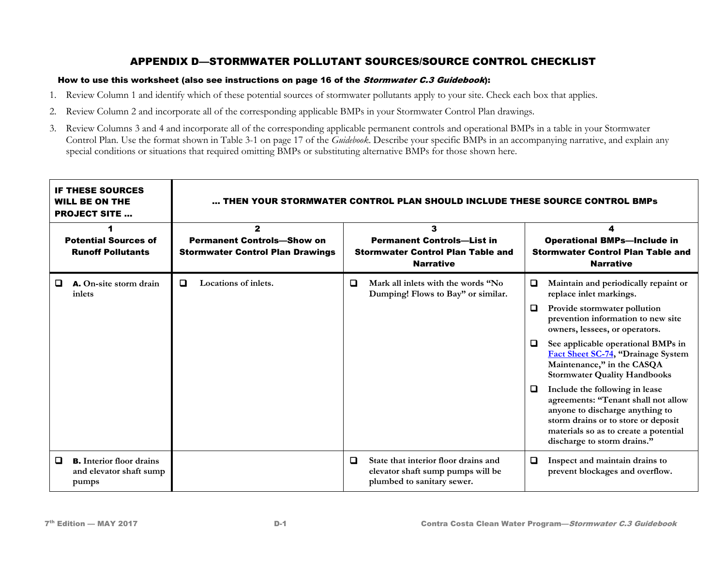### How to use this worksheet (also see instructions on page 16 of the Stormwater C.3 Guidebook):

- 1. Review Column 1 and identify which of these potential sources of stormwater pollutants apply to your site. Check each box that applies.
- 2. Review Column 2 and incorporate all of the corresponding applicable BMPs in your Stormwater Control Plan drawings.
- 3. Review Columns 3 and 4 and incorporate all of the corresponding applicable permanent controls and operational BMPs in a table in your Stormwater Control Plan. Use the format shown in Table 3-1 on page 17 of the *Guidebook*. Describe your specific BMPs in an accompanying narrative, and explain any special conditions or situations that required omitting BMPs or substituting alternative BMPs for those shown here.

| <b>IF THESE SOURCES</b><br><b>WILL BE ON THE</b><br><b>PROJECT SITE </b> |                                                                     | THEN YOUR STORMWATER CONTROL PLAN SHOULD INCLUDE THESE SOURCE CONTROL BMPs                   |                      |                                                                                                        |                                                                                                         |                                                                                                    |                                                                                                                                                                                                                         |  |
|--------------------------------------------------------------------------|---------------------------------------------------------------------|----------------------------------------------------------------------------------------------|----------------------|--------------------------------------------------------------------------------------------------------|---------------------------------------------------------------------------------------------------------|----------------------------------------------------------------------------------------------------|-------------------------------------------------------------------------------------------------------------------------------------------------------------------------------------------------------------------------|--|
| <b>Potential Sources of</b><br><b>Runoff Pollutants</b>                  |                                                                     | $\mathbf{2}$<br><b>Permanent Controls-Show on</b><br><b>Stormwater Control Plan Drawings</b> |                      | 3<br><b>Permanent Controls-List in</b><br><b>Stormwater Control Plan Table and</b><br><b>Narrative</b> |                                                                                                         | <b>Operational BMPs-Include in</b><br><b>Stormwater Control Plan Table and</b><br><b>Narrative</b> |                                                                                                                                                                                                                         |  |
| o                                                                        | A. On-site storm drain<br>inlets                                    | □                                                                                            | Locations of inlets. | $\Box$                                                                                                 | Mark all inlets with the words "No<br>Dumping! Flows to Bay" or similar.                                | O                                                                                                  | Maintain and periodically repaint or<br>replace inlet markings.                                                                                                                                                         |  |
|                                                                          |                                                                     |                                                                                              |                      |                                                                                                        |                                                                                                         | Q                                                                                                  | Provide stormwater pollution<br>prevention information to new site<br>owners, lessees, or operators.                                                                                                                    |  |
|                                                                          |                                                                     |                                                                                              |                      |                                                                                                        |                                                                                                         | O                                                                                                  | See applicable operational BMPs in<br>Fact Sheet SC-74, "Drainage System<br>Maintenance," in the CASQA<br><b>Stormwater Quality Handbooks</b>                                                                           |  |
|                                                                          |                                                                     |                                                                                              |                      |                                                                                                        |                                                                                                         | □                                                                                                  | Include the following in lease<br>agreements: "Tenant shall not allow<br>anyone to discharge anything to<br>storm drains or to store or deposit<br>materials so as to create a potential<br>discharge to storm drains." |  |
| 0                                                                        | <b>B.</b> Interior floor drains<br>and elevator shaft sump<br>pumps |                                                                                              |                      | o                                                                                                      | State that interior floor drains and<br>elevator shaft sump pumps will be<br>plumbed to sanitary sewer. | Q                                                                                                  | Inspect and maintain drains to<br>prevent blockages and overflow.                                                                                                                                                       |  |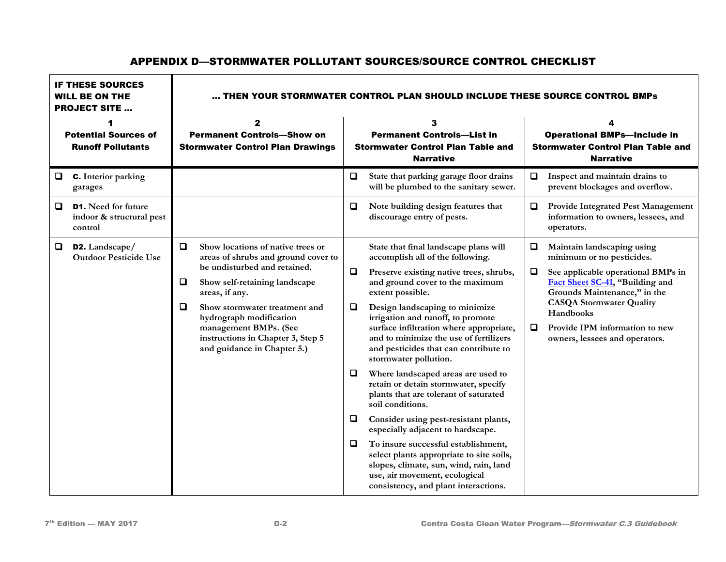| <b>IF THESE SOURCES</b><br><b>WILL BE ON THE</b><br><b>PROJECT SITE </b> |                                                                   | THEN YOUR STORMWATER CONTROL PLAN SHOULD INCLUDE THESE SOURCE CONTROL BMPs                   |                                                                                                                                                                                                                                                                                                                      |                                                                                                        |                                                                                                                                                                                                                                                                                                                                                                                                                                                                                                                                                                                                                                                                                                                                                                                                  |                                                                                                         |                                                                                                                                                                                                                                                                                      |
|--------------------------------------------------------------------------|-------------------------------------------------------------------|----------------------------------------------------------------------------------------------|----------------------------------------------------------------------------------------------------------------------------------------------------------------------------------------------------------------------------------------------------------------------------------------------------------------------|--------------------------------------------------------------------------------------------------------|--------------------------------------------------------------------------------------------------------------------------------------------------------------------------------------------------------------------------------------------------------------------------------------------------------------------------------------------------------------------------------------------------------------------------------------------------------------------------------------------------------------------------------------------------------------------------------------------------------------------------------------------------------------------------------------------------------------------------------------------------------------------------------------------------|---------------------------------------------------------------------------------------------------------|--------------------------------------------------------------------------------------------------------------------------------------------------------------------------------------------------------------------------------------------------------------------------------------|
| 1<br><b>Potential Sources of</b><br><b>Runoff Pollutants</b>             |                                                                   | $\mathbf{2}$<br><b>Permanent Controls-Show on</b><br><b>Stormwater Control Plan Drawings</b> |                                                                                                                                                                                                                                                                                                                      | 3<br><b>Permanent Controls-List in</b><br><b>Stormwater Control Plan Table and</b><br><b>Narrative</b> |                                                                                                                                                                                                                                                                                                                                                                                                                                                                                                                                                                                                                                                                                                                                                                                                  | 4<br><b>Operational BMPs-Include in</b><br><b>Stormwater Control Plan Table and</b><br><b>Narrative</b> |                                                                                                                                                                                                                                                                                      |
| Q                                                                        | <b>C.</b> Interior parking<br>garages                             |                                                                                              |                                                                                                                                                                                                                                                                                                                      | $\Box$                                                                                                 | State that parking garage floor drains<br>will be plumbed to the sanitary sewer.                                                                                                                                                                                                                                                                                                                                                                                                                                                                                                                                                                                                                                                                                                                 |                                                                                                         | Inspect and maintain drains to<br>prevent blockages and overflow.                                                                                                                                                                                                                    |
| u                                                                        | <b>D1.</b> Need for future<br>indoor & structural pest<br>control |                                                                                              |                                                                                                                                                                                                                                                                                                                      | u.                                                                                                     | Note building design features that<br>discourage entry of pests.                                                                                                                                                                                                                                                                                                                                                                                                                                                                                                                                                                                                                                                                                                                                 | Q                                                                                                       | Provide Integrated Pest Management<br>information to owners, lessees, and<br>operators.                                                                                                                                                                                              |
| □                                                                        | D2. Landscape/<br><b>Outdoor Pesticide Use</b>                    | $\Box$<br>Q<br>□                                                                             | Show locations of native trees or<br>areas of shrubs and ground cover to<br>be undisturbed and retained.<br>Show self-retaining landscape<br>areas, if any.<br>Show stormwater treatment and<br>hydrograph modification<br>management BMPs. (See<br>instructions in Chapter 3, Step 5<br>and guidance in Chapter 5.) | $\Box$<br>$\Box$<br>$\Box$<br>$\Box$<br>$\Box$                                                         | State that final landscape plans will<br>accomplish all of the following.<br>Preserve existing native trees, shrubs,<br>and ground cover to the maximum<br>extent possible.<br>Design landscaping to minimize<br>irrigation and runoff, to promote<br>surface infiltration where appropriate,<br>and to minimize the use of fertilizers<br>and pesticides that can contribute to<br>stormwater pollution.<br>Where landscaped areas are used to<br>retain or detain stormwater, specify<br>plants that are tolerant of saturated<br>soil conditions.<br>Consider using pest-resistant plants,<br>especially adjacent to hardscape.<br>To insure successful establishment,<br>select plants appropriate to site soils,<br>slopes, climate, sun, wind, rain, land<br>use, air movement, ecological | Q<br>□<br>O                                                                                             | Maintain landscaping using<br>minimum or no pesticides.<br>See applicable operational BMPs in<br>Fact Sheet SC-41, "Building and<br>Grounds Maintenance," in the<br><b>CASQA Stormwater Quality</b><br>Handbooks<br>Provide IPM information to new<br>owners, lessees and operators. |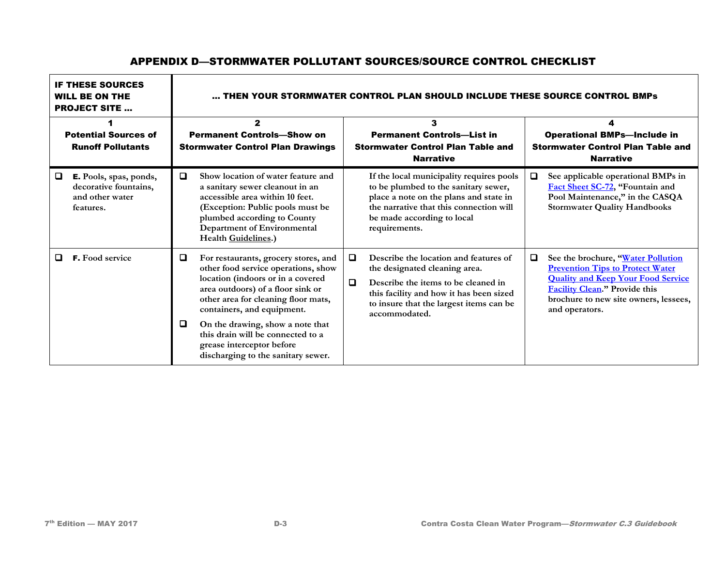| <b>IF THESE SOURCES</b><br><b>WILL BE ON THE</b><br><b>PROJECT SITE </b> |                                                                                 | THEN YOUR STORMWATER CONTROL PLAN SHOULD INCLUDE THESE SOURCE CONTROL BMPs                   |                                                                                                                                                                                                                                                                                                                                                                        |                                                                                                        |                                                                                                                                                                                                                      |                                                                                                         |                                                                                                                                                                                                                        |
|--------------------------------------------------------------------------|---------------------------------------------------------------------------------|----------------------------------------------------------------------------------------------|------------------------------------------------------------------------------------------------------------------------------------------------------------------------------------------------------------------------------------------------------------------------------------------------------------------------------------------------------------------------|--------------------------------------------------------------------------------------------------------|----------------------------------------------------------------------------------------------------------------------------------------------------------------------------------------------------------------------|---------------------------------------------------------------------------------------------------------|------------------------------------------------------------------------------------------------------------------------------------------------------------------------------------------------------------------------|
| <b>Potential Sources of</b><br><b>Runoff Pollutants</b>                  |                                                                                 | $\mathbf{2}$<br><b>Permanent Controls-Show on</b><br><b>Stormwater Control Plan Drawings</b> |                                                                                                                                                                                                                                                                                                                                                                        | 3<br><b>Permanent Controls-List in</b><br><b>Stormwater Control Plan Table and</b><br><b>Narrative</b> |                                                                                                                                                                                                                      | 4<br><b>Operational BMPs-Include in</b><br><b>Stormwater Control Plan Table and</b><br><b>Narrative</b> |                                                                                                                                                                                                                        |
| □                                                                        | E. Pools, spas, ponds,<br>decorative fountains,<br>and other water<br>features. | 0                                                                                            | Show location of water feature and<br>a sanitary sewer cleanout in an<br>accessible area within 10 feet.<br>(Exception: Public pools must be<br>plumbed according to County<br>Department of Environmental<br>Health Guidelines.)                                                                                                                                      |                                                                                                        | If the local municipality requires pools<br>to be plumbed to the sanitary sewer,<br>place a note on the plans and state in<br>the narrative that this connection will<br>be made according to local<br>requirements. | Q                                                                                                       | See applicable operational BMPs in<br>Fact Sheet SC-72, "Fountain and<br>Pool Maintenance," in the CASQA<br><b>Stormwater Quality Handbooks</b>                                                                        |
| ◻                                                                        | <b>F.</b> Food service                                                          | o<br>O                                                                                       | For restaurants, grocery stores, and<br>other food service operations, show<br>location (indoors or in a covered<br>area outdoors) of a floor sink or<br>other area for cleaning floor mats,<br>containers, and equipment.<br>On the drawing, show a note that<br>this drain will be connected to a<br>grease interceptor before<br>discharging to the sanitary sewer. | 0<br>$\Box$                                                                                            | Describe the location and features of<br>the designated cleaning area.<br>Describe the items to be cleaned in<br>this facility and how it has been sized<br>to insure that the largest items can be<br>accommodated. | 0                                                                                                       | See the brochure, "Water Pollution<br><b>Prevention Tips to Protect Water</b><br><b>Quality and Keep Your Food Service</b><br>Facility Clean." Provide this<br>brochure to new site owners, lessees,<br>and operators. |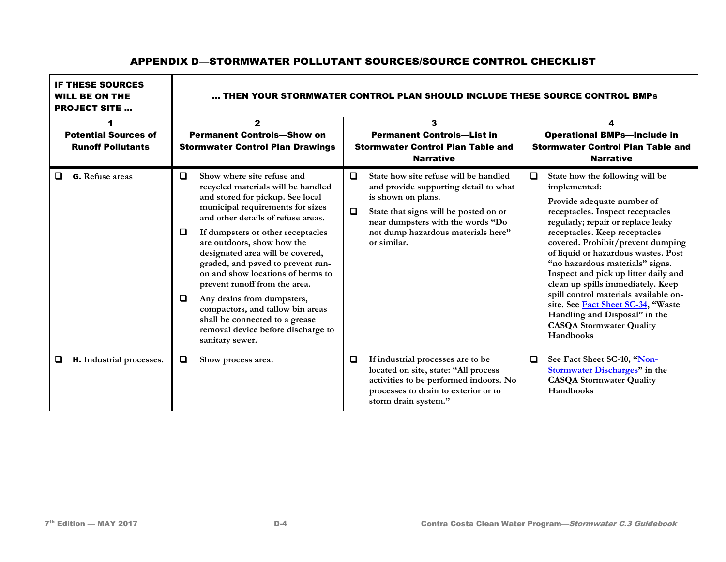#### IF THESE SOURCES WILL BE ON THE PROJECT SITE … … THEN YOUR STORMWATER CONTROL PLAN SHOULD INCLUDE THESE SOURCE CONTROL BMPs 1 Potential Sources of Runoff Pollutants 2 Permanent Controls—Show on Stormwater Control Plan Drawings 3 Permanent Controls—List in Stormwater Control Plan Table and Narrative 4 Operational BMPs—Include in Stormwater Control Plan Table and Narrative G. **Refuse areas**  $\Box$  $\Box$ **Show where site refuse and recycled materials will be handled and stored for pickup. See local municipal requirements for sizes and other details of refuse areas. If dumpsters or other receptacles are outdoors, show how the designated area will be covered, graded, and paved to prevent runon and show locations of berms to prevent runoff from the area. Any drains from dumpsters, compactors, and tallow bin areas shall be connected to a grease removal device before discharge to sanitary sewer.**  $\Box$  $\Box$ **State how site refuse will be handled and provide supporting detail to what is shown on plans. State that signs will be posted on or near dumpsters with the words "Do not dump hazardous materials here" or similar. State how the following will be implemented: Provide adequate number of receptacles. Inspect receptacles regularly; repair or replace leaky receptacles. Keep receptacles covered. Prohibit/prevent dumping of liquid or hazardous wastes. Post "no hazardous materials" signs. Inspect and pick up litter daily and clean up spills immediately. Keep spill control materials available onsite. Se[e Fact Sheet SC-34,](https://www.casqa.org/sites/default/files/BMPHandbooks/sc-34_municipal_2003.pdf) "Waste Handling and Disposal" in the CASQA Stormwater Quality Handbooks H.** Industrial processes.  $\Box$  Show process area.  $\Box$  If industrial processes are to be **located on site, state: "All process activities to be performed indoors. No processes to drain to exterior or to storm drain system." See Fact Sheet SC-10, ["Non-](https://www.casqa.org/sites/default/files/BMPHandbooks/sc-10_municipal_2003.pdf)[Stormwater Discharges"](https://www.casqa.org/sites/default/files/BMPHandbooks/sc-10_municipal_2003.pdf) in the CASQA Stormwater Quality Handbooks**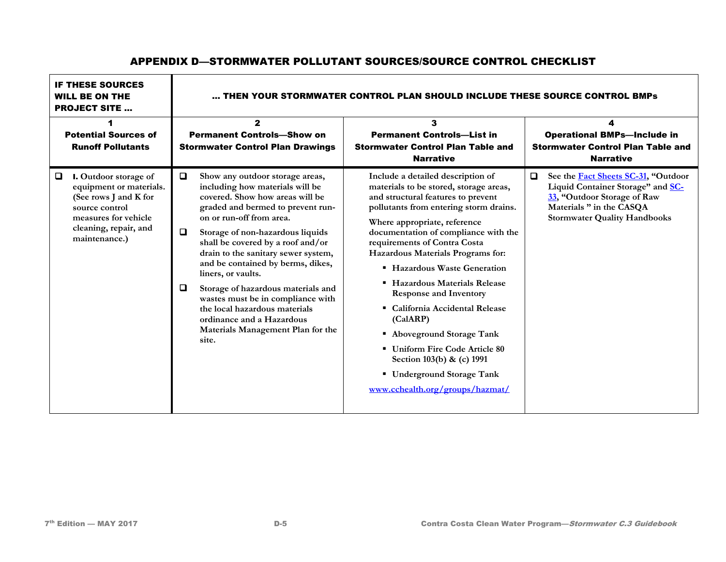### IF THESE SOURCES WILL BE ON THE PROJECT SITE … … THEN YOUR STORMWATER CONTROL PLAN SHOULD INCLUDE THESE SOURCE CONTROL BMPs 1 Potential Sources of Runoff Pollutants 2 Permanent Controls—Show on Stormwater Control Plan Drawings 3 Permanent Controls—List in Stormwater Control Plan Table and **Narrative** 4 Operational BMPs—Include in Stormwater Control Plan Table and Narrative I. **Outdoor storage of equipment or materials. (See rows J and K for source control measures for vehicle cleaning, repair, and maintenance.)**  $\Box$  $\Box$  $\Box$ **Show any outdoor storage areas, including how materials will be covered. Show how areas will be graded and bermed to prevent runon or run-off from area. Storage of non-hazardous liquids shall be covered by a roof and/or drain to the sanitary sewer system, and be contained by berms, dikes, liners, or vaults. Storage of hazardous materials and wastes must be in compliance with the local hazardous materials ordinance and a Hazardous Materials Management Plan for the site. Include a detailed description of materials to be stored, storage areas, and structural features to prevent pollutants from entering storm drains. Where appropriate, reference documentation of compliance with the requirements of Contra Costa Hazardous Materials Programs for: Hazardous Waste Generation Hazardous Materials Release Response and Inventory California Accidental Release (CalARP) Aboveground Storage Tank Uniform Fire Code Article 80 Section 103(b) & (c) 1991 Underground Storage Tank [www.cchealth.org/groups/hazmat/](http://www.cchealth.org/groups/hazmat/) See th[e Fact Sheets SC-31,](https://www.casqa.org/sites/default/files/BMPHandbooks/sc-31_municipal_2003.pdf) "Outdoor Liquid Container Storage" an[d SC-](https://www.casqa.org/sites/default/files/BMPHandbooks/sc-33_municipal_2003.pdf)[33,](https://www.casqa.org/sites/default/files/BMPHandbooks/sc-33_municipal_2003.pdf) "Outdoor Storage of Raw Materials " in the CASQA Stormwater Quality Handbooks**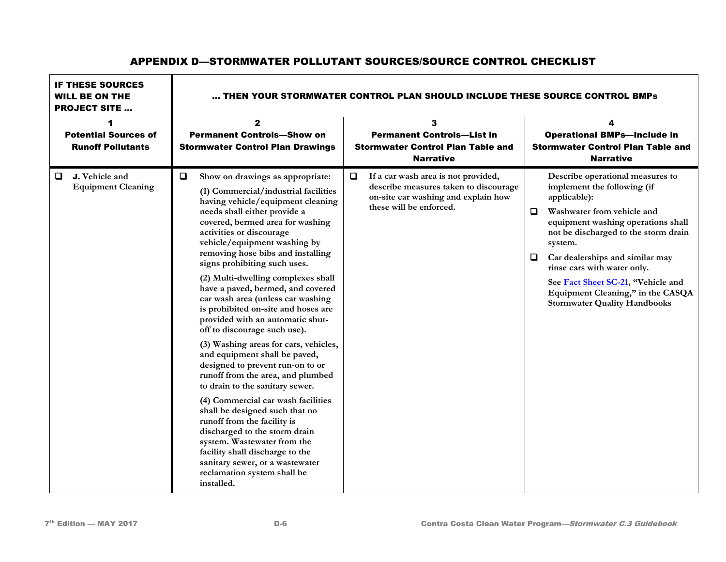| <b>IF THESE SOURCES</b><br><b>WILL BE ON THE</b><br><b>PROJECT SITE </b> | THEN YOUR STORMWATER CONTROL PLAN SHOULD INCLUDE THESE SOURCE CONTROL BMPs                                                                                                                                                                                                                                                                                                                                                                                                                                                                                                                                                                                                                                                                                                                                                                                                                                                                                                                                                              |                                                                                                                                                          |                                                                                                                                                                                                                                                                                                                                                                                                      |  |  |  |  |
|--------------------------------------------------------------------------|-----------------------------------------------------------------------------------------------------------------------------------------------------------------------------------------------------------------------------------------------------------------------------------------------------------------------------------------------------------------------------------------------------------------------------------------------------------------------------------------------------------------------------------------------------------------------------------------------------------------------------------------------------------------------------------------------------------------------------------------------------------------------------------------------------------------------------------------------------------------------------------------------------------------------------------------------------------------------------------------------------------------------------------------|----------------------------------------------------------------------------------------------------------------------------------------------------------|------------------------------------------------------------------------------------------------------------------------------------------------------------------------------------------------------------------------------------------------------------------------------------------------------------------------------------------------------------------------------------------------------|--|--|--|--|
| 1<br><b>Potential Sources of</b><br><b>Runoff Pollutants</b>             | $\mathbf{2}$<br><b>Permanent Controls-Show on</b><br><b>Stormwater Control Plan Drawings</b>                                                                                                                                                                                                                                                                                                                                                                                                                                                                                                                                                                                                                                                                                                                                                                                                                                                                                                                                            | 3<br><b>Permanent Controls-List in</b><br><b>Stormwater Control Plan Table and</b><br><b>Narrative</b>                                                   | 4<br><b>Operational BMPs-Include in</b><br><b>Stormwater Control Plan Table and</b><br><b>Narrative</b>                                                                                                                                                                                                                                                                                              |  |  |  |  |
| J. Vehicle and<br>$\Box$<br><b>Equipment Cleaning</b>                    | $\Box$<br>Show on drawings as appropriate:<br>(1) Commercial/industrial facilities<br>having vehicle/equipment cleaning<br>needs shall either provide a<br>covered, bermed area for washing<br>activities or discourage<br>vehicle/equipment washing by<br>removing hose bibs and installing<br>signs prohibiting such uses.<br>(2) Multi-dwelling complexes shall<br>have a paved, bermed, and covered<br>car wash area (unless car washing<br>is prohibited on-site and hoses are<br>provided with an automatic shut-<br>off to discourage such use).<br>(3) Washing areas for cars, vehicles,<br>and equipment shall be paved,<br>designed to prevent run-on to or<br>runoff from the area, and plumbed<br>to drain to the sanitary sewer.<br>(4) Commercial car wash facilities<br>shall be designed such that no<br>runoff from the facility is<br>discharged to the storm drain<br>system. Wastewater from the<br>facility shall discharge to the<br>sanitary sewer, or a wastewater<br>reclamation system shall be<br>installed. | If a car wash area is not provided,<br>$\Box$<br>describe measures taken to discourage<br>on-site car washing and explain how<br>these will be enforced. | Describe operational measures to<br>implement the following (if<br>applicable):<br>Washwater from vehicle and<br>0<br>equipment washing operations shall<br>not be discharged to the storm drain<br>system.<br>Car dealerships and similar may<br>0<br>rinse cars with water only.<br>See Fact Sheet SC-21, "Vehicle and<br>Equipment Cleaning," in the CASQA<br><b>Stormwater Quality Handbooks</b> |  |  |  |  |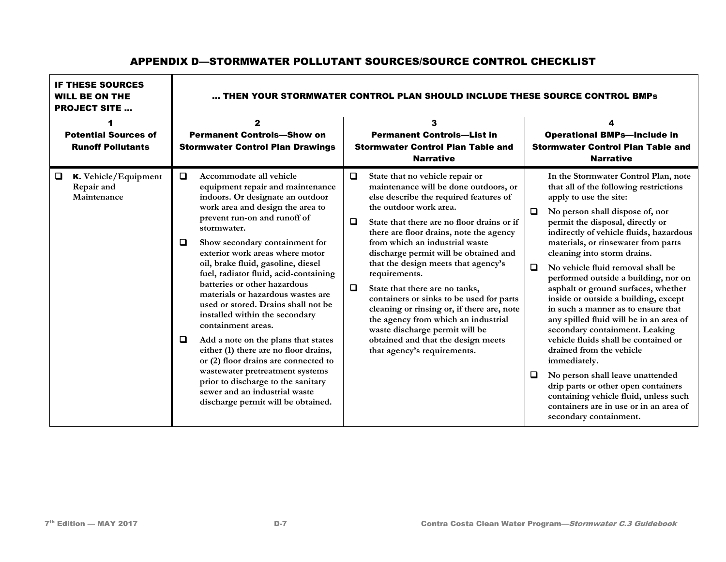| <b>IF THESE SOURCES</b><br><b>WILL BE ON THE</b><br><b>PROJECT SITE </b> | THEN YOUR STORMWATER CONTROL PLAN SHOULD INCLUDE THESE SOURCE CONTROL BMPs                                                                                                                                                                                                                                                                                                                                                                                                                                                                                                                                                                                                                                                                                                                                  |                                                                                                                                                                                                                                                                                                                                                                                                                                                                                                                                                                                                                                                                                  |                                                                                                                                                                                                                                                                                                                                                                                                                                                                                                                                                                                                                                                                                                                                                                                                                                                                                 |  |  |  |  |
|--------------------------------------------------------------------------|-------------------------------------------------------------------------------------------------------------------------------------------------------------------------------------------------------------------------------------------------------------------------------------------------------------------------------------------------------------------------------------------------------------------------------------------------------------------------------------------------------------------------------------------------------------------------------------------------------------------------------------------------------------------------------------------------------------------------------------------------------------------------------------------------------------|----------------------------------------------------------------------------------------------------------------------------------------------------------------------------------------------------------------------------------------------------------------------------------------------------------------------------------------------------------------------------------------------------------------------------------------------------------------------------------------------------------------------------------------------------------------------------------------------------------------------------------------------------------------------------------|---------------------------------------------------------------------------------------------------------------------------------------------------------------------------------------------------------------------------------------------------------------------------------------------------------------------------------------------------------------------------------------------------------------------------------------------------------------------------------------------------------------------------------------------------------------------------------------------------------------------------------------------------------------------------------------------------------------------------------------------------------------------------------------------------------------------------------------------------------------------------------|--|--|--|--|
| <b>Potential Sources of</b><br><b>Runoff Pollutants</b>                  | $\mathbf{2}$<br><b>Permanent Controls-Show on</b><br><b>Stormwater Control Plan Drawings</b>                                                                                                                                                                                                                                                                                                                                                                                                                                                                                                                                                                                                                                                                                                                | 3<br><b>Permanent Controls-List in</b><br><b>Stormwater Control Plan Table and</b><br><b>Narrative</b>                                                                                                                                                                                                                                                                                                                                                                                                                                                                                                                                                                           | 4<br><b>Operational BMPs-Include in</b><br><b>Stormwater Control Plan Table and</b><br><b>Narrative</b>                                                                                                                                                                                                                                                                                                                                                                                                                                                                                                                                                                                                                                                                                                                                                                         |  |  |  |  |
| $\Box$<br>K. Vehicle/Equipment<br>Repair and<br>Maintenance              | $\Box$<br>Accommodate all vehicle<br>equipment repair and maintenance<br>indoors. Or designate an outdoor<br>work area and design the area to<br>prevent run-on and runoff of<br>stormwater.<br>□<br>Show secondary containment for<br>exterior work areas where motor<br>oil, brake fluid, gasoline, diesel<br>fuel, radiator fluid, acid-containing<br>batteries or other hazardous<br>materials or hazardous wastes are<br>used or stored. Drains shall not be<br>installed within the secondary<br>containment areas.<br>$\Box$<br>Add a note on the plans that states<br>either (1) there are no floor drains,<br>or (2) floor drains are connected to<br>wastewater pretreatment systems<br>prior to discharge to the sanitary<br>sewer and an industrial waste<br>discharge permit will be obtained. | $\Box$<br>State that no vehicle repair or<br>maintenance will be done outdoors, or<br>else describe the required features of<br>the outdoor work area.<br>$\Box$<br>State that there are no floor drains or if<br>there are floor drains, note the agency<br>from which an industrial waste<br>discharge permit will be obtained and<br>that the design meets that agency's<br>requirements.<br>$\Box$<br>State that there are no tanks,<br>containers or sinks to be used for parts<br>cleaning or rinsing or, if there are, note<br>the agency from which an industrial<br>waste discharge permit will be<br>obtained and that the design meets<br>that agency's requirements. | In the Stormwater Control Plan, note<br>that all of the following restrictions<br>apply to use the site:<br>0<br>No person shall dispose of, nor<br>permit the disposal, directly or<br>indirectly of vehicle fluids, hazardous<br>materials, or rinsewater from parts<br>cleaning into storm drains.<br>$\Box$<br>No vehicle fluid removal shall be<br>performed outside a building, nor on<br>asphalt or ground surfaces, whether<br>inside or outside a building, except<br>in such a manner as to ensure that<br>any spilled fluid will be in an area of<br>secondary containment. Leaking<br>vehicle fluids shall be contained or<br>drained from the vehicle<br>immediately.<br>o<br>No person shall leave unattended<br>drip parts or other open containers<br>containing vehicle fluid, unless such<br>containers are in use or in an area of<br>secondary containment. |  |  |  |  |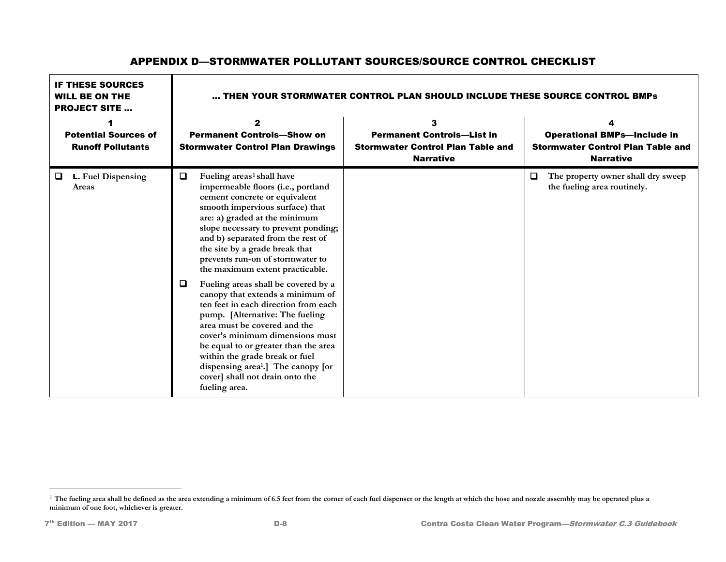<span id="page-7-0"></span>

| <b>IF THESE SOURCES</b><br><b>WILL BE ON THE</b><br><b>PROJECT SITE </b> | THEN YOUR STORMWATER CONTROL PLAN SHOULD INCLUDE THESE SOURCE CONTROL BMPs                                                                                                                                                                                                                                                                                                                                                                                                                                                                                                                                                                                                                                                                                                                         |                                                                                                        |                                                                                                    |  |  |  |
|--------------------------------------------------------------------------|----------------------------------------------------------------------------------------------------------------------------------------------------------------------------------------------------------------------------------------------------------------------------------------------------------------------------------------------------------------------------------------------------------------------------------------------------------------------------------------------------------------------------------------------------------------------------------------------------------------------------------------------------------------------------------------------------------------------------------------------------------------------------------------------------|--------------------------------------------------------------------------------------------------------|----------------------------------------------------------------------------------------------------|--|--|--|
| <b>Potential Sources of</b><br><b>Runoff Pollutants</b>                  | $\mathbf{z}$<br><b>Permanent Controls-Show on</b><br><b>Stormwater Control Plan Drawings</b>                                                                                                                                                                                                                                                                                                                                                                                                                                                                                                                                                                                                                                                                                                       | 3<br><b>Permanent Controls-List in</b><br><b>Stormwater Control Plan Table and</b><br><b>Narrative</b> | <b>Operational BMPs-Include in</b><br><b>Stormwater Control Plan Table and</b><br><b>Narrative</b> |  |  |  |
| L. Fuel Dispensing<br>0<br>Areas                                         | $\Box$<br>Fueling areas <sup>1</sup> shall have<br>impermeable floors (i.e., portland<br>cement concrete or equivalent<br>smooth impervious surface) that<br>are: a) graded at the minimum<br>slope necessary to prevent ponding;<br>and b) separated from the rest of<br>the site by a grade break that<br>prevents run-on of stormwater to<br>the maximum extent practicable.<br>$\Box$<br>Fueling areas shall be covered by a<br>canopy that extends a minimum of<br>ten feet in each direction from each<br>pump. [Alternative: The fueling<br>area must be covered and the<br>cover's minimum dimensions must<br>be equal to or greater than the area<br>within the grade break or fuel<br>dispensing area <sup>1</sup> .] The canopy [or<br>cover] shall not drain onto the<br>fueling area. |                                                                                                        | $\Box$<br>The property owner shall dry sweep<br>the fueling area routinely.                        |  |  |  |

 $\overline{a}$ 

<sup>&</sup>lt;sup>1</sup> The fueling area shall be defined as the area extending a minimum of 6.5 feet from the corner of each fuel dispenser or the length at which the hose and nozzle assembly may be operated plus a **minimum of one foot, whichever is greater.**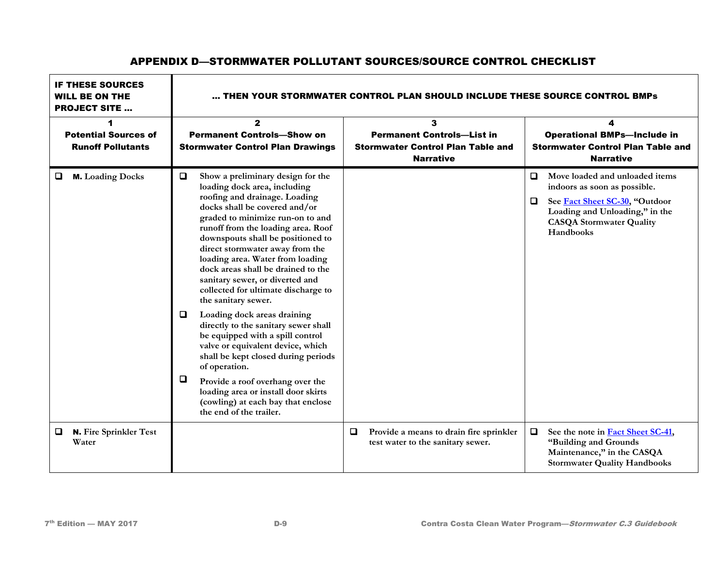### IF THESE SOURCES WILL BE ON THE PROJECT SITE … … THEN YOUR STORMWATER CONTROL PLAN SHOULD INCLUDE THESE SOURCE CONTROL BMPs 1 Potential Sources of Runoff Pollutants 2 Permanent Controls—Show on Stormwater Control Plan Drawings 3 Permanent Controls—List in Stormwater Control Plan Table and Narrative 4 Operational BMPs—Include in Stormwater Control Plan Table and Narrative M. **Loading Docks**  $\Box$  $\Box$ **Show a preliminary design for the loading dock area, including roofing and drainage. Loading docks shall be covered and/or graded to minimize run-on to and runoff from the loading area. Roof downspouts shall be positioned to direct stormwater away from the loading area. Water from loading dock areas shall be drained to the sanitary sewer, or diverted and collected for ultimate discharge to the sanitary sewer. Loading dock areas draining directly to the sanitary sewer shall be equipped with a spill control valve or equivalent device, which shall be kept closed during periods of operation. Provide a roof overhang over the loading area or install door skirts (cowling) at each bay that enclose the end of the trailer. Move loaded and unloaded items See [Fact Sheet SC-30,](https://www.casqa.org/sites/default/files/BMPHandbooks/sc-30_municipal_2003.pdf) "Outdoor indoors as soon as possible. Loading and Unloading," in the CASQA Stormwater Quality Handbooks**  N. **Fire Sprinkler Test Water Provide a means to drain fire sprinkler test water to the sanitary sewer. See the note in [Fact Sheet SC-41,](https://www.casqa.org/sites/default/files/BMPHandbooks/sc-41_municipal_2003.pdf) "Building and Grounds Maintenance," in the CASQA Stormwater Quality Handbooks**